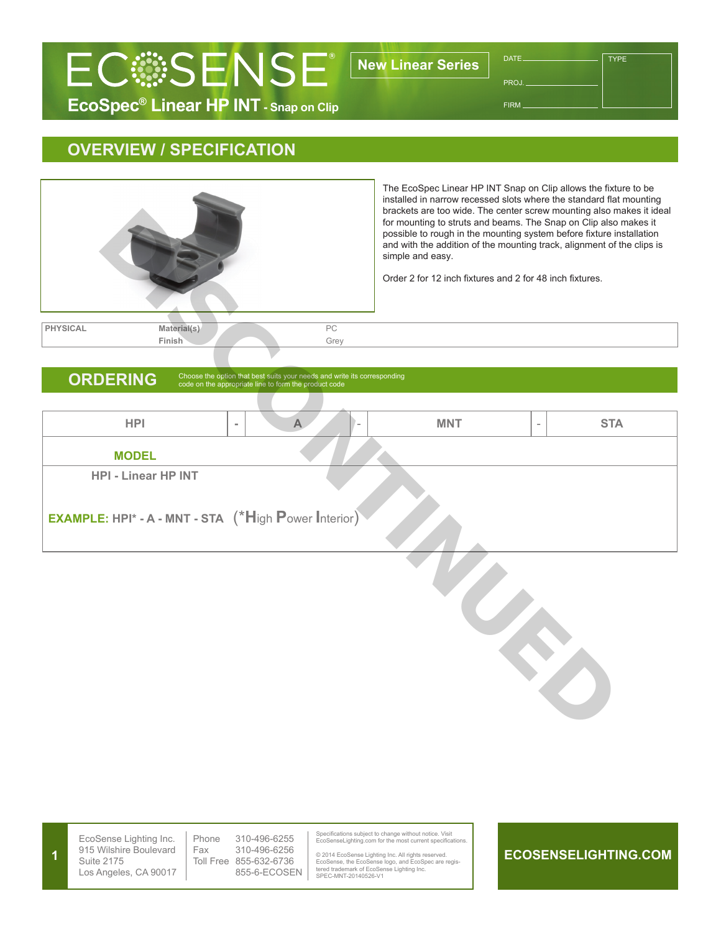

FIRM

**TYPE** 

# **OVERVIEW / SPECIFICATION**



**1**

| <b>ORDERING</b>                                             | code on the appropriate line to form the product code | Choose the option that best suits your needs and write its corresponding |            |                          |            |  |  |  |
|-------------------------------------------------------------|-------------------------------------------------------|--------------------------------------------------------------------------|------------|--------------------------|------------|--|--|--|
|                                                             |                                                       |                                                                          |            |                          |            |  |  |  |
| <b>HPI</b>                                                  | $\equiv$                                              | $\blacktriangle$                                                         | <b>MNT</b> | $\overline{\phantom{a}}$ | <b>STA</b> |  |  |  |
| <b>MODEL</b>                                                |                                                       |                                                                          |            |                          |            |  |  |  |
| <b>HPI - Linear HP INT</b>                                  |                                                       |                                                                          |            |                          |            |  |  |  |
| <b>EXAMPLE: HPI* - A - MNT - STA</b> (*High Power Interior) |                                                       |                                                                          |            |                          |            |  |  |  |
|                                                             |                                                       |                                                                          |            |                          |            |  |  |  |
|                                                             |                                                       |                                                                          |            |                          |            |  |  |  |

EcoSense Lighting Inc. 915 Wilshire Boulevard Suite 2175 Los Angeles, CA 90017 Phone 310-496-6255<br>Fax 310-496-6256 310-496-6256 Toll Free 855-632-6736 855-6-ECOSEN

Specifications subject to change without notice. Visit EcoSenseLighting.com for the most current specifications.

© 2014 EcoSense Lighting Inc. All rights reserved. EcoSense, the EcoSense logo, and EcoSpec are regis-tered trademark of EcoSense Lighting Inc. SPEC-MNT-20140526-V1

### **ECOSENSELIGHTING.COM**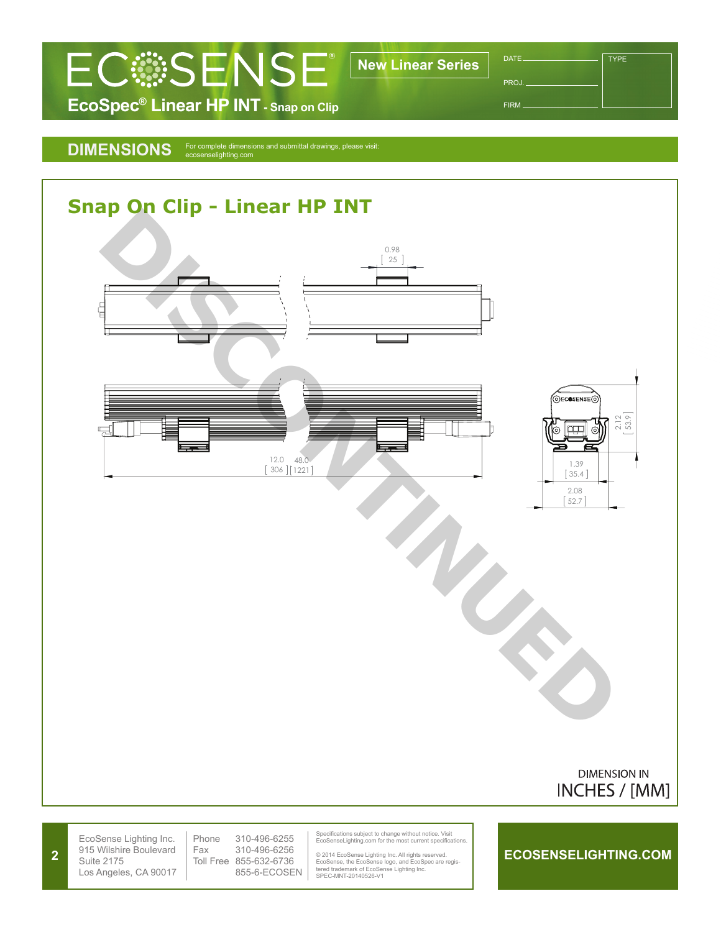

TYPE

FIRM

## DIMENSIONS For complete dimensions and submittal drawings, please visit:<br>ecosenselighting.com



**2**

Fax 310-496-6256 Toll Free 855-632-6736 855-6-ECOSEN EcoSenseLighting.com for the most current specifications.

© 2014 EcoSense Lighting Inc. All rights reserved. EcoSense, the EcoSense logo, and EcoSpec are regis-tered trademark of EcoSense Lighting Inc. SPEC-MNT-20140526-V1

### **ECOSENSELIGHTING.COM**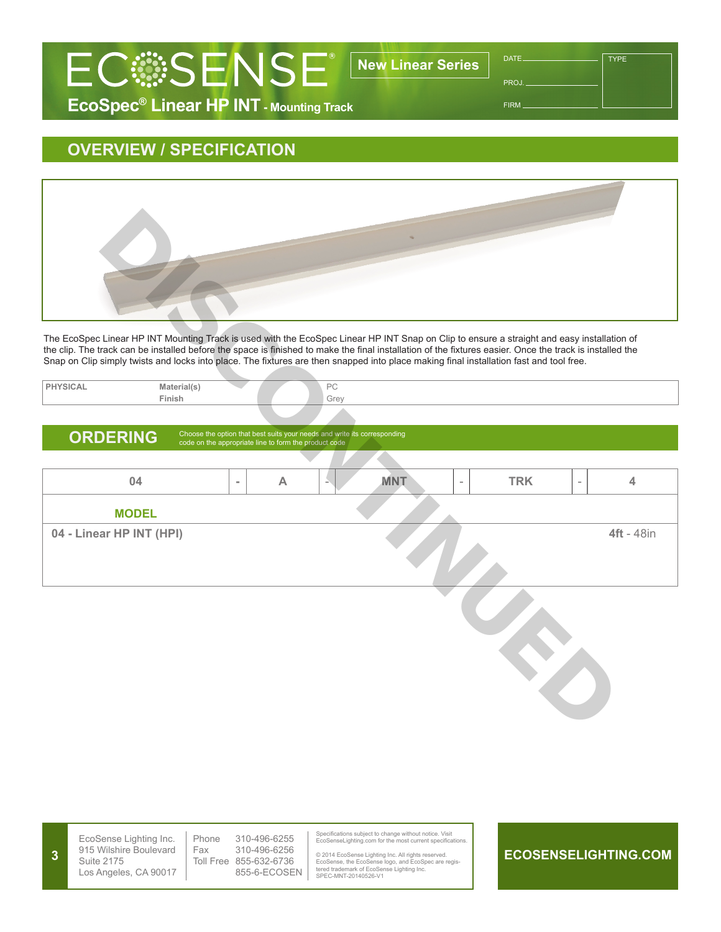

**TYPE** 

FIRM

# **EcoSpec® Linear HP INT - Mounting Track**

## **OVERVIEW / SPECIFICATION**



| PHYSICAL | Material(s) |  |  | $D^{\wedge}$<br>$\sim$ |
|----------|-------------|--|--|------------------------|
|          | Finish      |  |  | Grey                   |
|          |             |  |  |                        |

## ORDERING Choose the option that best suits your needs and write its corresponding code on the appropriate line to form the product code

| The EcoSpec Linear HP INT Mounting Track is used with the EcoSpec Linear HP INT Snap on Clip to ensure a straight and easy installation of<br>the clip. The track can be installed before the space is finished to make the final installation of the fixtures easier. Once the track is installed the |          |                                                       |                                                                          |            |            |                          |                   |
|--------------------------------------------------------------------------------------------------------------------------------------------------------------------------------------------------------------------------------------------------------------------------------------------------------|----------|-------------------------------------------------------|--------------------------------------------------------------------------|------------|------------|--------------------------|-------------------|
| Snap on Clip simply twists and locks into place. The fixtures are then snapped into place making final installation fast and tool free.                                                                                                                                                                |          |                                                       |                                                                          |            |            |                          |                   |
| <b>PHYSICAL</b><br>Material(s)<br>Finish                                                                                                                                                                                                                                                               |          |                                                       | PC<br>Grey                                                               |            |            |                          |                   |
|                                                                                                                                                                                                                                                                                                        |          |                                                       |                                                                          |            |            |                          |                   |
| <b>ORDERING</b>                                                                                                                                                                                                                                                                                        |          | code on the appropriate line to form the product code | Choose the option that best suits your needs and write its corresponding |            |            |                          |                   |
|                                                                                                                                                                                                                                                                                                        |          |                                                       |                                                                          |            |            |                          |                   |
| 04                                                                                                                                                                                                                                                                                                     | $\equiv$ | A                                                     |                                                                          | <b>MNT</b> | <b>TRK</b> | $\overline{\phantom{a}}$ | $\overline{4}$    |
| <b>MODEL</b>                                                                                                                                                                                                                                                                                           |          |                                                       |                                                                          |            |            |                          |                   |
| 04 - Linear HP INT (HPI)                                                                                                                                                                                                                                                                               |          |                                                       |                                                                          |            |            |                          | <b>4ft</b> - 48in |
|                                                                                                                                                                                                                                                                                                        |          |                                                       |                                                                          |            |            |                          |                   |

|  | EcoSense Lighting Inc.<br>915 Wilshire Boulevard<br>Suite 2175<br>Los Angeles, CA 90017 | Phone<br>Fax | 310-496-6255<br>310-496-6256<br>Toll Free 855-632-6736<br>855-6-ECOSEN | Specifications subject to change without notice. Visit<br>EcoSenseLighting.com for the most current specifications.<br>© 2014 EcoSense Lighting Inc. All rights reserved.<br>EcoSense, the EcoSense logo, and EcoSpec are regis-<br>tered trademark of EcoSense Lighting Inc.<br>SPEC-MNT-20140526-V1 |  | ECOSENSELIGHTING.COM |
|--|-----------------------------------------------------------------------------------------|--------------|------------------------------------------------------------------------|-------------------------------------------------------------------------------------------------------------------------------------------------------------------------------------------------------------------------------------------------------------------------------------------------------|--|----------------------|
|--|-----------------------------------------------------------------------------------------|--------------|------------------------------------------------------------------------|-------------------------------------------------------------------------------------------------------------------------------------------------------------------------------------------------------------------------------------------------------------------------------------------------------|--|----------------------|